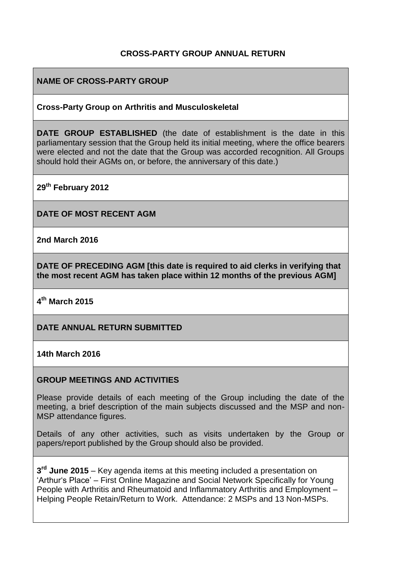## **CROSS-PARTY GROUP ANNUAL RETURN**

## **NAME OF CROSS-PARTY GROUP**

#### **Cross-Party Group on Arthritis and Musculoskeletal**

**DATE GROUP ESTABLISHED** (the date of establishment is the date in this parliamentary session that the Group held its initial meeting, where the office bearers were elected and not the date that the Group was accorded recognition. All Groups should hold their AGMs on, or before, the anniversary of this date.)

**29th February 2012**

**DATE OF MOST RECENT AGM**

**2nd March 2016**

**DATE OF PRECEDING AGM [this date is required to aid clerks in verifying that the most recent AGM has taken place within 12 months of the previous AGM]**

**4 th March 2015**

#### **DATE ANNUAL RETURN SUBMITTED**

#### **14th March 2016**

#### **GROUP MEETINGS AND ACTIVITIES**

Please provide details of each meeting of the Group including the date of the meeting, a brief description of the main subjects discussed and the MSP and non-MSP attendance figures.

Details of any other activities, such as visits undertaken by the Group or papers/report published by the Group should also be provided.

**3 rd June 2015** – Key agenda items at this meeting included a presentation on 'Arthur's Place' – First Online Magazine and Social Network Specifically for Young People with Arthritis and Rheumatoid and Inflammatory Arthritis and Employment – Helping People Retain/Return to Work. Attendance: 2 MSPs and 13 Non-MSPs.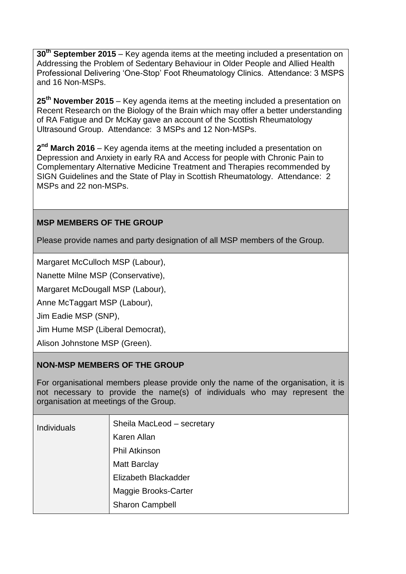**30th September 2015** – Key agenda items at the meeting included a presentation on Addressing the Problem of Sedentary Behaviour in Older People and Allied Health Professional Delivering 'One-Stop' Foot Rheumatology Clinics. Attendance: 3 MSPS and 16 Non-MSPs.

**25th November 2015** – Key agenda items at the meeting included a presentation on Recent Research on the Biology of the Brain which may offer a better understanding of RA Fatigue and Dr McKay gave an account of the Scottish Rheumatology Ultrasound Group. Attendance: 3 MSPs and 12 Non-MSPs.

**2 nd March 2016** – Key agenda items at the meeting included a presentation on Depression and Anxiety in early RA and Access for people with Chronic Pain to Complementary Alternative Medicine Treatment and Therapies recommended by SIGN Guidelines and the State of Play in Scottish Rheumatology. Attendance: 2 MSPs and 22 non-MSPs.

## **MSP MEMBERS OF THE GROUP**

Please provide names and party designation of all MSP members of the Group.

Margaret McCulloch MSP (Labour),

Nanette Milne MSP (Conservative),

Margaret McDougall MSP (Labour),

Anne McTaggart MSP (Labour),

Jim Eadie MSP (SNP),

Jim Hume MSP (Liberal Democrat),

Alison Johnstone MSP (Green).

#### **NON-MSP MEMBERS OF THE GROUP**

For organisational members please provide only the name of the organisation, it is not necessary to provide the name(s) of individuals who may represent the organisation at meetings of the Group.

| <b>Individuals</b> | Sheila MacLeod - secretary |
|--------------------|----------------------------|
|                    | Karen Allan                |
|                    | <b>Phil Atkinson</b>       |
|                    | <b>Matt Barclay</b>        |
|                    | Elizabeth Blackadder       |
|                    | Maggie Brooks-Carter       |
|                    | Sharon Campbell            |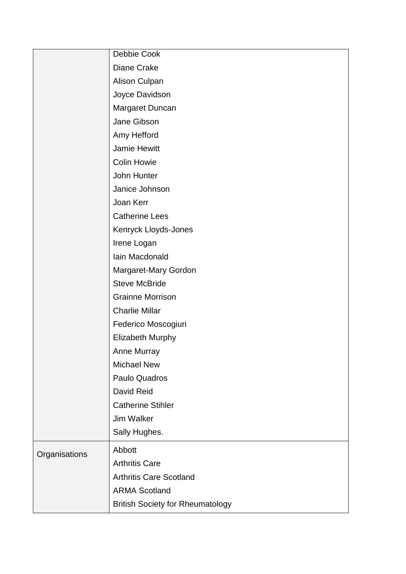|               | Debbie Cook                             |
|---------------|-----------------------------------------|
|               | Diane Crake                             |
|               | Alison Culpan                           |
|               | Joyce Davidson                          |
|               | Margaret Duncan                         |
|               | Jane Gibson                             |
|               | Amy Hefford                             |
|               | <b>Jamie Hewitt</b>                     |
|               | <b>Colin Howie</b>                      |
|               | John Hunter                             |
|               | Janice Johnson                          |
|               | Joan Kerr                               |
|               | <b>Catherine Lees</b>                   |
|               | Kenryck Lloyds-Jones                    |
|               | Irene Logan                             |
|               | Iain Macdonald                          |
|               | Margaret-Mary Gordon                    |
|               | <b>Steve McBride</b>                    |
|               | <b>Grainne Morrison</b>                 |
|               | <b>Charlie Millar</b>                   |
|               | Federico Moscogiuri                     |
|               | <b>Elizabeth Murphy</b>                 |
|               | <b>Anne Murray</b>                      |
|               | <b>Michael New</b>                      |
|               | Paulo Quadros                           |
|               | David Reid                              |
|               | <b>Catherine Stihler</b>                |
|               | <b>Jim Walker</b>                       |
|               | Sally Hughes.                           |
| Organisations | Abbott                                  |
|               | <b>Arthritis Care</b>                   |
|               | <b>Arthritis Care Scotland</b>          |
|               | <b>ARMA Scotland</b>                    |
|               | <b>British Society for Rheumatology</b> |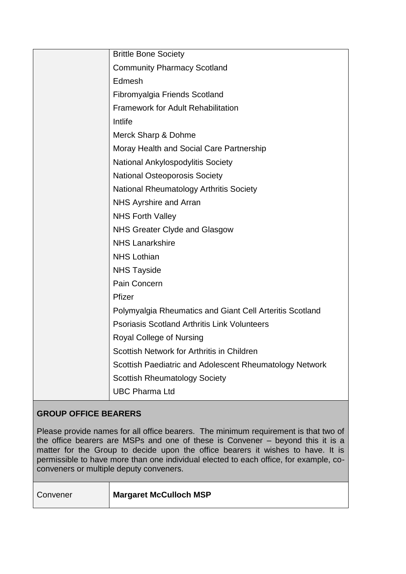| <b>Brittle Bone Society</b>                              |
|----------------------------------------------------------|
| <b>Community Pharmacy Scotland</b>                       |
| Edmesh                                                   |
| Fibromyalgia Friends Scotland                            |
| <b>Framework for Adult Rehabilitation</b>                |
| Intlife                                                  |
| Merck Sharp & Dohme                                      |
| Moray Health and Social Care Partnership                 |
| National Ankylospodylitis Society                        |
| <b>National Osteoporosis Society</b>                     |
| <b>National Rheumatology Arthritis Society</b>           |
| NHS Ayrshire and Arran                                   |
| <b>NHS Forth Valley</b>                                  |
| NHS Greater Clyde and Glasgow                            |
| <b>NHS Lanarkshire</b>                                   |
| <b>NHS Lothian</b>                                       |
| <b>NHS Tayside</b>                                       |
| Pain Concern                                             |
| Pfizer                                                   |
| Polymyalgia Rheumatics and Giant Cell Arteritis Scotland |
| <b>Psoriasis Scotland Arthritis Link Volunteers</b>      |
| Royal College of Nursing                                 |
| Scottish Network for Arthritis in Children               |
| Scottish Paediatric and Adolescent Rheumatology Network  |
| <b>Scottish Rheumatology Society</b>                     |
| <b>UBC Pharma Ltd</b>                                    |
|                                                          |

# **GROUP OFFICE BEARERS**

Please provide names for all office bearers. The minimum requirement is that two of the office bearers are MSPs and one of these is Convener – beyond this it is a matter for the Group to decide upon the office bearers it wishes to have. It is permissible to have more than one individual elected to each office, for example, coconveners or multiple deputy conveners.

Convener **Margaret McCulloch MSP**